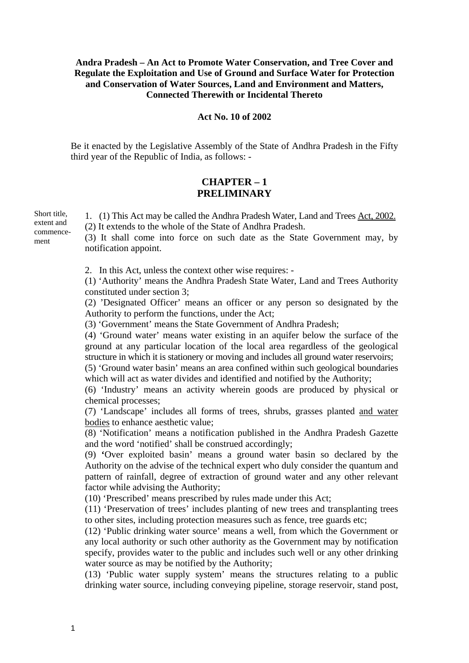### **Andra Pradesh – An Act to Promote Water Conservation, and Tree Cover and Regulate the Exploitation and Use of Ground and Surface Water for Protection and Conservation of Water Sources, Land and Environment and Matters, Connected Therewith or Incidental Thereto**

## **Act No. 10 of 2002**

Be it enacted by the Legislative Assembly of the State of Andhra Pradesh in the Fifty third year of the Republic of India, as follows: -

# **CHAPTER – 1 PRELIMINARY**

1. (1) This Act may be called the Andhra Pradesh Water, Land and Trees Act, 2002. (2) It extends to the whole of the State of Andhra Pradesh. (3) It shall come into force on such date as the State Government may, by notification appoint.

2. In this Act, unless the context other wise requires: -

(1) 'Authority' means the Andhra Pradesh State Water, Land and Trees Authority constituted under section 3;

(2) 'Designated Officer' means an officer or any person so designated by the Authority to perform the functions, under the Act;

(3) 'Government' means the State Government of Andhra Pradesh;

(4) 'Ground water' means water existing in an aquifer below the surface of the ground at any particular location of the local area regardless of the geological structure in which it is stationery or moving and includes all ground water reservoirs;

(5) 'Ground water basin' means an area confined within such geological boundaries which will act as water divides and identified and notified by the Authority;

(6) 'Industry' means an activity wherein goods are produced by physical or chemical processes;

(7) 'Landscape' includes all forms of trees, shrubs, grasses planted and water bodies to enhance aesthetic value;

(8) 'Notification' means a notification published in the Andhra Pradesh Gazette and the word 'notified' shall be construed accordingly;

(9) **'**Over exploited basin' means a ground water basin so declared by the Authority on the advise of the technical expert who duly consider the quantum and pattern of rainfall, degree of extraction of ground water and any other relevant factor while advising the Authority;

(10) 'Prescribed' means prescribed by rules made under this Act;

(11) 'Preservation of trees' includes planting of new trees and transplanting trees to other sites, including protection measures such as fence, tree guards etc;

(12) 'Public drinking water source' means a well, from which the Government or any local authority or such other authority as the Government may by notification specify, provides water to the public and includes such well or any other drinking water source as may be notified by the Authority;

(13) 'Public water supply system' means the structures relating to a public drinking water source, including conveying pipeline, storage reservoir, stand post,

Short title, extent and commencement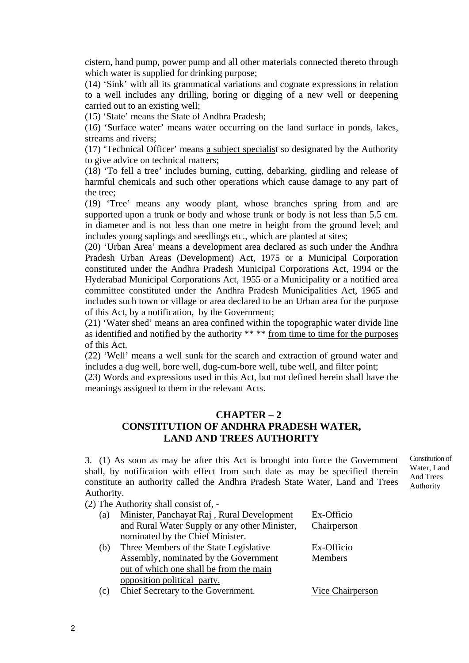cistern, hand pump, power pump and all other materials connected thereto through which water is supplied for drinking purpose;

(14) 'Sink' with all its grammatical variations and cognate expressions in relation to a well includes any drilling, boring or digging of a new well or deepening carried out to an existing well;

(15) 'State' means the State of Andhra Pradesh;

(16) 'Surface water' means water occurring on the land surface in ponds, lakes, streams and rivers;

(17) 'Technical Officer' means a subject specialist so designated by the Authority to give advice on technical matters;

(18) 'To fell a tree' includes burning, cutting, debarking, girdling and release of harmful chemicals and such other operations which cause damage to any part of the tree;

(19) 'Tree' means any woody plant, whose branches spring from and are supported upon a trunk or body and whose trunk or body is not less than 5.5 cm. in diameter and is not less than one metre in height from the ground level; and includes young saplings and seedlings etc., which are planted at sites;

(20) 'Urban Area' means a development area declared as such under the Andhra Pradesh Urban Areas (Development) Act, 1975 or a Municipal Corporation constituted under the Andhra Pradesh Municipal Corporations Act, 1994 or the Hyderabad Municipal Corporations Act, 1955 or a Municipality or a notified area committee constituted under the Andhra Pradesh Municipalities Act, 1965 and includes such town or village or area declared to be an Urban area for the purpose of this Act, by a notification, by the Government;

(21) 'Water shed' means an area confined within the topographic water divide line as identified and notified by the authority \*\* \*\* from time to time for the purposes of this Act.

(22) 'Well' means a well sunk for the search and extraction of ground water and includes a dug well, bore well, dug-cum-bore well, tube well, and filter point;

(23) Words and expressions used in this Act, but not defined herein shall have the meanings assigned to them in the relevant Acts.

# **CHAPTER – 2 CONSTITUTION OF ANDHRA PRADESH WATER, LAND AND TREES AUTHORITY**

3. (1) As soon as may be after this Act is brought into force the Government shall, by notification with effect from such date as may be specified therein constitute an authority called the Andhra Pradesh State Water, Land and Trees Authority.

Constitution of Water, Land And Trees Authority

(2) The Authority shall consist of, -

| (a) | Minister, Panchayat Raj, Rural Development    | Ex-Officio     |
|-----|-----------------------------------------------|----------------|
|     | and Rural Water Supply or any other Minister, | Chairperson    |
|     | nominated by the Chief Minister.              |                |
| (b) | Three Members of the State Legislative        | Ex-Officio     |
|     | Assembly, nominated by the Government         | <b>Members</b> |
|     | out of which one shall be from the main       |                |

opposition political party.

(c) Chief Secretary to the Government. Vice Chairperson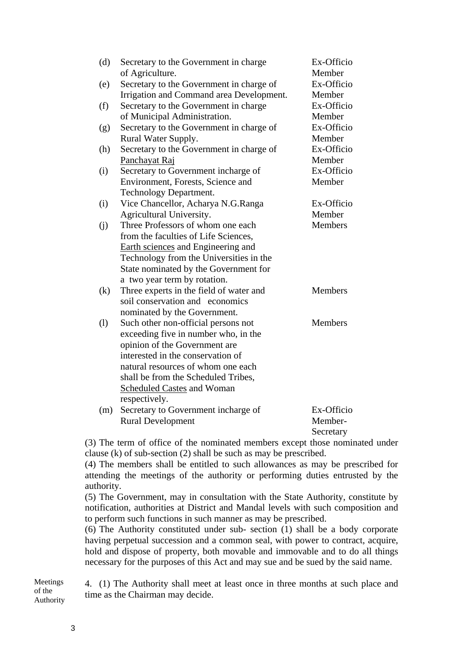| (d) | Secretary to the Government in charge    | Ex-Officio     |
|-----|------------------------------------------|----------------|
|     | of Agriculture.                          | Member         |
| (e) | Secretary to the Government in charge of | Ex-Officio     |
|     | Irrigation and Command area Development. | Member         |
| (f) | Secretary to the Government in charge    | Ex-Officio     |
|     | of Municipal Administration.             | Member         |
| (g) | Secretary to the Government in charge of | Ex-Officio     |
|     | Rural Water Supply.                      | Member         |
| (h) | Secretary to the Government in charge of | Ex-Officio     |
|     | Panchayat Raj                            | Member         |
| (i) | Secretary to Government incharge of      | Ex-Officio     |
|     | Environment, Forests, Science and        | Member         |
|     | Technology Department.                   |                |
| (i) | Vice Chancellor, Acharya N.G.Ranga       | Ex-Officio     |
|     | Agricultural University.                 | Member         |
| (j) | Three Professors of whom one each        | <b>Members</b> |
|     | from the faculties of Life Sciences,     |                |
|     | Earth sciences and Engineering and       |                |
|     | Technology from the Universities in the  |                |
|     | State nominated by the Government for    |                |
|     | a two year term by rotation.             |                |
| (k) | Three experts in the field of water and  | <b>Members</b> |
|     | soil conservation and economics          |                |
|     | nominated by the Government.             |                |
| (1) | Such other non-official persons not      | Members        |
|     | exceeding five in number who, in the     |                |
|     | opinion of the Government are            |                |
|     | interested in the conservation of        |                |
|     | natural resources of whom one each       |                |
|     | shall be from the Scheduled Tribes,      |                |
|     | <b>Scheduled Castes and Woman</b>        |                |
|     | respectively.                            |                |
| (m) | Secretary to Government incharge of      | Ex-Officio     |
|     | <b>Rural Development</b>                 | Member-        |
|     |                                          | Secretary      |

(3) The term of office of the nominated members except those nominated under clause (k) of sub-section (2) shall be such as may be prescribed.

(4) The members shall be entitled to such allowances as may be prescribed for attending the meetings of the authority or performing duties entrusted by the authority.

(5) The Government, may in consultation with the State Authority, constitute by notification, authorities at District and Mandal levels with such composition and to perform such functions in such manner as may be prescribed.

(6) The Authority constituted under sub- section (1) shall be a body corporate having perpetual succession and a common seal, with power to contract, acquire, hold and dispose of property, both movable and immovable and to do all things necessary for the purposes of this Act and may sue and be sued by the said name.

4. (1) The Authority shall meet at least once in three months at such place and time as the Chairman may decide. Meetings of the Authority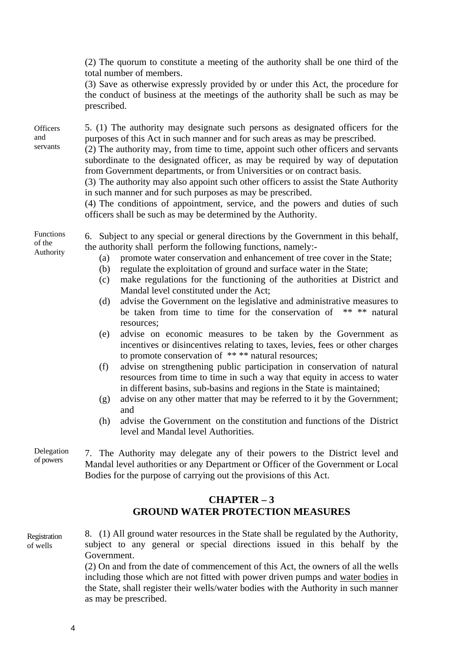|                             | <b>CHAPTER-3</b><br><b>GROUND WATER PROTECTION MEASURES</b>                                                                                                                                                                                                                                                                                                                                                                                                                                                                                                                                                                                                                                                               |  |
|-----------------------------|---------------------------------------------------------------------------------------------------------------------------------------------------------------------------------------------------------------------------------------------------------------------------------------------------------------------------------------------------------------------------------------------------------------------------------------------------------------------------------------------------------------------------------------------------------------------------------------------------------------------------------------------------------------------------------------------------------------------------|--|
| Delegation<br>of powers     | 7. The Authority may delegate any of their powers to the District level and<br>Mandal level authorities or any Department or Officer of the Government or Local<br>Bodies for the purpose of carrying out the provisions of this Act.                                                                                                                                                                                                                                                                                                                                                                                                                                                                                     |  |
|                             | advise the Government on the constitution and functions of the District<br>(h)<br>level and Mandal level Authorities.                                                                                                                                                                                                                                                                                                                                                                                                                                                                                                                                                                                                     |  |
|                             | advise on any other matter that may be referred to it by the Government;<br>(g)<br>and                                                                                                                                                                                                                                                                                                                                                                                                                                                                                                                                                                                                                                    |  |
|                             | advise on strengthening public participation in conservation of natural<br>(f)<br>resources from time to time in such a way that equity in access to water<br>in different basins, sub-basins and regions in the State is maintained;                                                                                                                                                                                                                                                                                                                                                                                                                                                                                     |  |
|                             | resources;<br>advise on economic measures to be taken by the Government as<br>(e)<br>incentives or disincentives relating to taxes, levies, fees or other charges<br>to promote conservation of **** natural resources;                                                                                                                                                                                                                                                                                                                                                                                                                                                                                                   |  |
|                             | advise the Government on the legislative and administrative measures to<br>(d)<br>be taken from time to time for the conservation of<br>** ** natural                                                                                                                                                                                                                                                                                                                                                                                                                                                                                                                                                                     |  |
| of the<br>Authority         | the authority shall perform the following functions, namely:-<br>promote water conservation and enhancement of tree cover in the State;<br>(a)<br>regulate the exploitation of ground and surface water in the State;<br>(b)<br>make regulations for the functioning of the authorities at District and<br>(c)<br>Mandal level constituted under the Act;                                                                                                                                                                                                                                                                                                                                                                 |  |
| Functions                   | 6. Subject to any special or general directions by the Government in this behalf,                                                                                                                                                                                                                                                                                                                                                                                                                                                                                                                                                                                                                                         |  |
| Officers<br>and<br>servants | 5. (1) The authority may designate such persons as designated officers for the<br>purposes of this Act in such manner and for such areas as may be prescribed.<br>(2) The authority may, from time to time, appoint such other officers and servants<br>subordinate to the designated officer, as may be required by way of deputation<br>from Government departments, or from Universities or on contract basis.<br>(3) The authority may also appoint such other officers to assist the State Authority<br>in such manner and for such purposes as may be prescribed.<br>(4) The conditions of appointment, service, and the powers and duties of such<br>officers shall be such as may be determined by the Authority. |  |
|                             |                                                                                                                                                                                                                                                                                                                                                                                                                                                                                                                                                                                                                                                                                                                           |  |
|                             | (2) The quorum to constitute a meeting of the authority shall be one third of the<br>total number of members.<br>(3) Save as otherwise expressly provided by or under this Act, the procedure for<br>the conduct of business at the meetings of the authority shall be such as may be<br>prescribed.                                                                                                                                                                                                                                                                                                                                                                                                                      |  |
|                             |                                                                                                                                                                                                                                                                                                                                                                                                                                                                                                                                                                                                                                                                                                                           |  |

8. (1) All ground water resources in the State shall be regulated by the Authority, subject to any general or special directions issued in this behalf by the Government. Registration of wells

(2) On and from the date of commencement of this Act, the owners of all the wells including those which are not fitted with power driven pumps and water bodies in the State, shall register their wells/water bodies with the Authority in such manner as may be prescribed.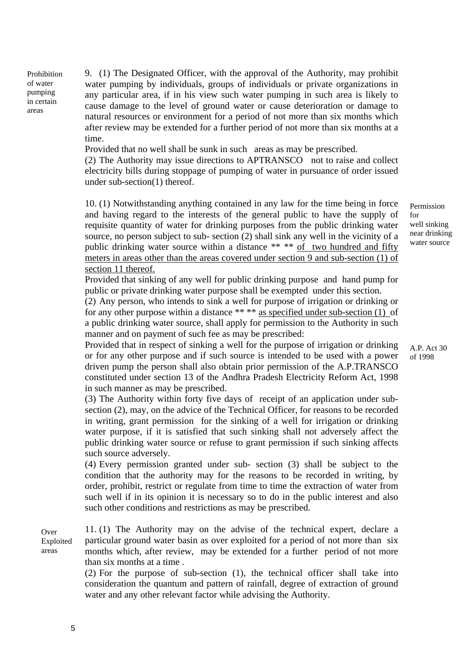Prohibition of water pumping in certain areas

9. (1) The Designated Officer, with the approval of the Authority, may prohibit water pumping by individuals, groups of individuals or private organizations in any particular area, if in his view such water pumping in such area is likely to cause damage to the level of ground water or cause deterioration or damage to natural resources or environment for a period of not more than six months which after review may be extended for a further period of not more than six months at a time.

Provided that no well shall be sunk in such areas as may be prescribed.

(2) The Authority may issue directions to APTRANSCO not to raise and collect electricity bills during stoppage of pumping of water in pursuance of order issued under sub-section(1) thereof.

10. (1) Notwithstanding anything contained in any law for the time being in force and having regard to the interests of the general public to have the supply of requisite quantity of water for drinking purposes from the public drinking water source, no person subject to sub- section (2) shall sink any well in the vicinity of a public drinking water source within a distance \*\* \*\* of two hundred and fifty meters in areas other than the areas covered under section 9 and sub-section (1) of section 11 thereof.

Provided that sinking of any well for public drinking purpose and hand pump for public or private drinking water purpose shall be exempted under this section.

(2) Any person, who intends to sink a well for purpose of irrigation or drinking or for any other purpose within a distance \*\* \*\* as specified under sub-section (1) of a public drinking water source, shall apply for permission to the Authority in such manner and on payment of such fee as may be prescribed:

Provided that in respect of sinking a well for the purpose of irrigation or drinking or for any other purpose and if such source is intended to be used with a power driven pump the person shall also obtain prior permission of the A.P.TRANSCO constituted under section 13 of the Andhra Pradesh Electricity Reform Act, 1998 in such manner as may be prescribed.

(3) The Authority within forty five days of receipt of an application under subsection (2), may, on the advice of the Technical Officer, for reasons to be recorded in writing, grant permission for the sinking of a well for irrigation or drinking water purpose, if it is satisfied that such sinking shall not adversely affect the public drinking water source or refuse to grant permission if such sinking affects such source adversely.

(4) Every permission granted under sub- section (3) shall be subject to the condition that the authority may for the reasons to be recorded in writing, by order, prohibit, restrict or regulate from time to time the extraction of water from such well if in its opinion it is necessary so to do in the public interest and also such other conditions and restrictions as may be prescribed.

11. (1) The Authority may on the advise of the technical expert, declare a particular ground water basin as over exploited for a period of not more than six months which, after review, may be extended for a further period of not more than six months at a time . Over Exploited areas

(2) For the purpose of sub-section (1), the technical officer shall take into consideration the quantum and pattern of rainfall, degree of extraction of ground water and any other relevant factor while advising the Authority.

Permission for well sinking near drinking water source

A.P. Act 30 of 1998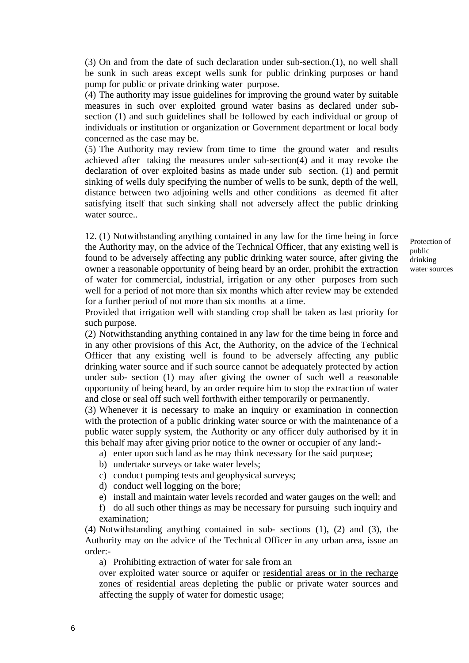(3) On and from the date of such declaration under sub-section.(1), no well shall be sunk in such areas except wells sunk for public drinking purposes or hand pump for public or private drinking water purpose.

(4) The authority may issue guidelines for improving the ground water by suitable measures in such over exploited ground water basins as declared under subsection (1) and such guidelines shall be followed by each individual or group of individuals or institution or organization or Government department or local body concerned as the case may be.

(5) The Authority may review from time to time the ground water and results achieved after taking the measures under sub-section(4) and it may revoke the declaration of over exploited basins as made under sub section. (1) and permit sinking of wells duly specifying the number of wells to be sunk, depth of the well, distance between two adjoining wells and other conditions as deemed fit after satisfying itself that such sinking shall not adversely affect the public drinking water source..

12. (1) Notwithstanding anything contained in any law for the time being in force the Authority may, on the advice of the Technical Officer, that any existing well is found to be adversely affecting any public drinking water source, after giving the owner a reasonable opportunity of being heard by an order, prohibit the extraction of water for commercial, industrial, irrigation or any other purposes from such well for a period of not more than six months which after review may be extended for a further period of not more than six months at a time.

Protection of public drinking water sources

Provided that irrigation well with standing crop shall be taken as last priority for such purpose.

(2) Notwithstanding anything contained in any law for the time being in force and in any other provisions of this Act, the Authority, on the advice of the Technical Officer that any existing well is found to be adversely affecting any public drinking water source and if such source cannot be adequately protected by action under sub- section (1) may after giving the owner of such well a reasonable opportunity of being heard, by an order require him to stop the extraction of water and close or seal off such well forthwith either temporarily or permanently.

(3) Whenever it is necessary to make an inquiry or examination in connection with the protection of a public drinking water source or with the maintenance of a public water supply system, the Authority or any officer duly authorised by it in this behalf may after giving prior notice to the owner or occupier of any land:-

a) enter upon such land as he may think necessary for the said purpose;

- b) undertake surveys or take water levels;
- c) conduct pumping tests and geophysical surveys;
- d) conduct well logging on the bore;
- e) install and maintain water levels recorded and water gauges on the well; and

f) do all such other things as may be necessary for pursuing such inquiry and examination;

(4) Notwithstanding anything contained in sub- sections (1), (2) and (3), the Authority may on the advice of the Technical Officer in any urban area, issue an order:-

a) Prohibiting extraction of water for sale from an

over exploited water source or aquifer or residential areas or in the recharge zones of residential areas depleting the public or private water sources and affecting the supply of water for domestic usage;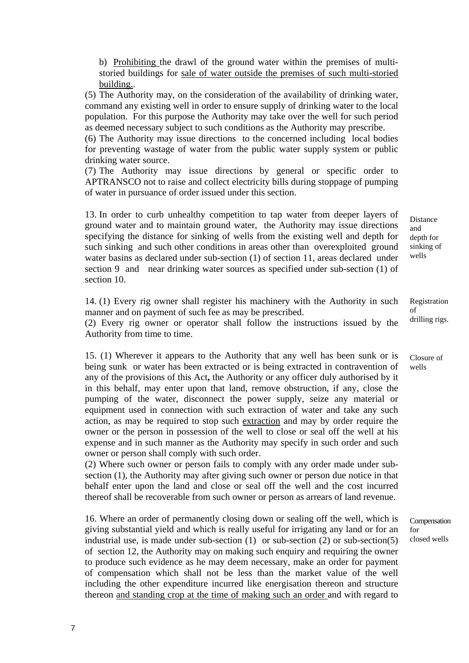b) Prohibiting the drawl of the ground water within the premises of multistoried buildings for sale of water outside the premises of such multi-storied building..

(5) The Authority may, on the consideration of the availability of drinking water, command any existing well in order to ensure supply of drinking water to the local population. For this purpose the Authority may take over the well for such period as deemed necessary subject to such conditions as the Authority may prescribe.

(6) The Authority may issue directions to the concerned including local bodies for preventing wastage of water from the public water supply system or public drinking water source.

(7) The Authority may issue directions by general or specific order to APTRANSCO not to raise and collect electricity bills during stoppage of pumping of water in pursuance of order issued under this section.

13. In order to curb unhealthy competition to tap water from deeper layers of ground water and to maintain ground water, the Authority may issue directions specifying the distance for sinking of wells from the existing well and depth for such sinking and such other conditions in areas other than overexploited ground water basins as declared under sub-section (1) of section 11, areas declared under section 9 and near drinking water sources as specified under sub-section (1) of section 10.

14. (1) Every rig owner shall register his machinery with the Authority in such manner and on payment of such fee as may be prescribed.

(2) Every rig owner or operator shall follow the instructions issued by the Authority from time to time.

15. (1) Wherever it appears to the Authority that any well has been sunk or is being sunk or water has been extracted or is being extracted in contravention of any of the provisions of this Act**,** the Authority or any officer duly authorised by it in this behalf, may enter upon that land, remove obstruction, if any, close the pumping of the water, disconnect the power supply, seize any material or equipment used in connection with such extraction of water and take any such action, as may be required to stop such extraction and may by order require the owner or the person in possession of the well to close or seal off the well at his expense and in such manner as the Authority may specify in such order and such owner or person shall comply with such order.

(2) Where such owner or person fails to comply with any order made under subsection (1), the Authority may after giving such owner or person due notice in that behalf enter upon the land and close or seal off the well and the cost incurred thereof shall be recoverable from such owner or person as arrears of land revenue.

16. Where an order of permanently closing down or sealing off the well, which is giving substantial yield and which is really useful for irrigating any land or for an industrial use, is made under sub-section (1) or sub-section (2) or sub-section(5) of section 12, the Authority may on making such enquiry and requiring the owner to produce such evidence as he may deem necessary, make an order for payment of compensation which shall not be less than the market value of the well including the other expenditure incurred like energisation thereon and structure thereon and standing crop at the time of making such an order and with regard to

Distance and depth for sinking of wells

Registration of drilling rigs.

Closure of wells

Compensation for closed wells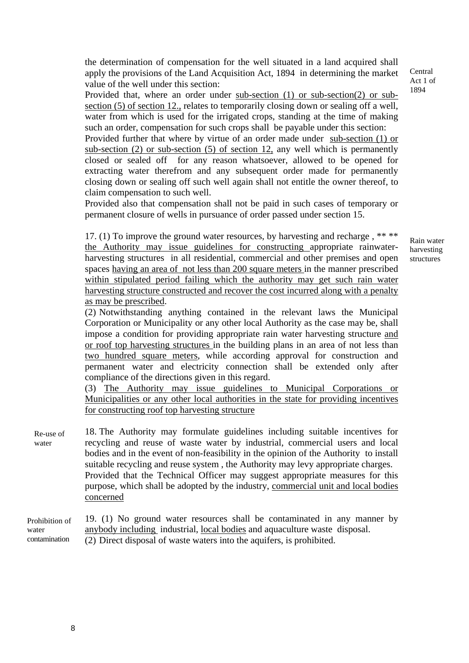the determination of compensation for the well situated in a land acquired shall apply the provisions of the Land Acquisition Act, 1894 in determining the market value of the well under this section:

Provided that, where an order under sub-section (1) or sub-section(2) or subsection (5) of section 12., relates to temporarily closing down or sealing off a well, water from which is used for the irrigated crops, standing at the time of making such an order, compensation for such crops shall be payable under this section:

Provided further that where by virtue of an order made under sub-section (1) or sub-section (2) or sub-section (5) of section 12, any well which is permanently closed or sealed off for any reason whatsoever, allowed to be opened for extracting water therefrom and any subsequent order made for permanently closing down or sealing off such well again shall not entitle the owner thereof, to claim compensation to such well.

Provided also that compensation shall not be paid in such cases of temporary or permanent closure of wells in pursuance of order passed under section 15.

17. (1) To improve the ground water resources, by harvesting and recharge , \*\* \*\* the Authority may issue guidelines for constructing appropriate rainwaterharvesting structures in all residential, commercial and other premises and open spaces having an area of not less than 200 square meters in the manner prescribed within stipulated period failing which the authority may get such rain water harvesting structure constructed and recover the cost incurred along with a penalty as may be prescribed.

Rain water harvesting structures

**Central** Act 1 of 1894

(2) Notwithstanding anything contained in the relevant laws the Municipal Corporation or Municipality or any other local Authority as the case may be, shall impose a condition for providing appropriate rain water harvesting structure and or roof top harvesting structures in the building plans in an area of not less than two hundred square meters, while according approval for construction and permanent water and electricity connection shall be extended only after compliance of the directions given in this regard.

(3) The Authority may issue guidelines to Municipal Corporations or Municipalities or any other local authorities in the state for providing incentives for constructing roof top harvesting structure

18. The Authority may formulate guidelines including suitable incentives for recycling and reuse of waste water by industrial, commercial users and local bodies and in the event of non-feasibility in the opinion of the Authority to install suitable recycling and reuse system , the Authority may levy appropriate charges. Provided that the Technical Officer may suggest appropriate measures for this purpose, which shall be adopted by the industry, commercial unit and local bodies concerned Re-use of water

<sup>19. (1)</sup> No ground water resources shall be contaminated in any manner by anybody including industrial, local bodies and aquaculture waste disposal. (2) Direct disposal of waste waters into the aquifers, is prohibited. Prohibition of water contamination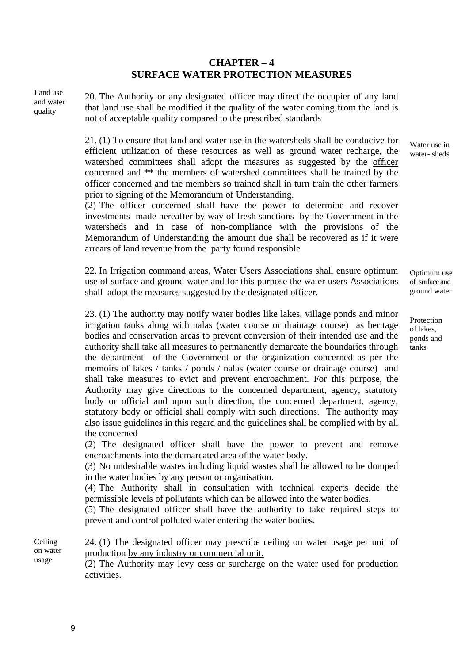# **CHAPTER – 4 SURFACE WATER PROTECTION MEASURES**

Land use and water quality

20. The Authority or any designated officer may direct the occupier of any land that land use shall be modified if the quality of the water coming from the land is not of acceptable quality compared to the prescribed standards

21. (1) To ensure that land and water use in the watersheds shall be conducive for efficient utilization of these resources as well as ground water recharge, the watershed committees shall adopt the measures as suggested by the officer concerned and \*\* the members of watershed committees shall be trained by the officer concerned and the members so trained shall in turn train the other farmers prior to signing of the Memorandum of Understanding.

(2) The officer concerned shall have the power to determine and recover investments made hereafter by way of fresh sanctions by the Government in the watersheds and in case of non-compliance with the provisions of the Memorandum of Understanding the amount due shall be recovered as if it were arrears of land revenue from the party found responsible

22. In Irrigation command areas, Water Users Associations shall ensure optimum use of surface and ground water and for this purpose the water users Associations shall adopt the measures suggested by the designated officer.

23. (1) The authority may notify water bodies like lakes, village ponds and minor irrigation tanks along with nalas (water course or drainage course) as heritage bodies and conservation areas to prevent conversion of their intended use and the authority shall take all measures to permanently demarcate the boundaries through the department of the Government or the organization concerned as per the memoirs of lakes / tanks / ponds / nalas (water course or drainage course) and shall take measures to evict and prevent encroachment. For this purpose, the Authority may give directions to the concerned department, agency, statutory body or official and upon such direction, the concerned department, agency, statutory body or official shall comply with such directions. The authority may also issue guidelines in this regard and the guidelines shall be complied with by all the concerned

(2) The designated officer shall have the power to prevent and remove encroachments into the demarcated area of the water body.

(3) No undesirable wastes including liquid wastes shall be allowed to be dumped in the water bodies by any person or organisation.

(4) The Authority shall in consultation with technical experts decide the permissible levels of pollutants which can be allowed into the water bodies.

(5) The designated officer shall have the authority to take required steps to prevent and control polluted water entering the water bodies.

24. (1) The designated officer may prescribe ceiling on water usage per unit of production by any industry or commercial unit. Ceiling on water usage

(2) The Authority may levy cess or surcharge on the water used for production activities.

Water use in water- sheds

Optimum use of surface and ground water

Protection of lakes, ponds and tanks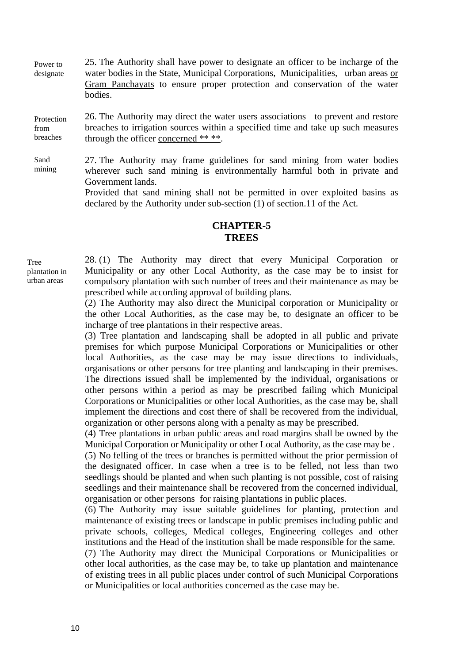25. The Authority shall have power to designate an officer to be incharge of the water bodies in the State, Municipal Corporations, Municipalities, urban areas or Gram Panchayats to ensure proper protection and conservation of the water bodies. Power to designate

26. The Authority may direct the water users associations to prevent and restore breaches to irrigation sources within a specified time and take up such measures through the officer concerned \*\* \*\*. Protection from breaches

27. The Authority may frame guidelines for sand mining from water bodies wherever such sand mining is environmentally harmful both in private and Government lands. Sand mining

> Provided that sand mining shall not be permitted in over exploited basins as declared by the Authority under sub-section (1) of section.11 of the Act.

## **CHAPTER-5 TREES**

Tree plantation in urban areas

28. (1) The Authority may direct that every Municipal Corporation or Municipality or any other Local Authority, as the case may be to insist for compulsory plantation with such number of trees and their maintenance as may be prescribed while according approval of building plans.

(2) The Authority may also direct the Municipal corporation or Municipality or the other Local Authorities, as the case may be, to designate an officer to be incharge of tree plantations in their respective areas.

(3) Tree plantation and landscaping shall be adopted in all public and private premises for which purpose Municipal Corporations or Municipalities or other local Authorities, as the case may be may issue directions to individuals, organisations or other persons for tree planting and landscaping in their premises. The directions issued shall be implemented by the individual, organisations or other persons within a period as may be prescribed failing which Municipal Corporations or Municipalities or other local Authorities, as the case may be, shall implement the directions and cost there of shall be recovered from the individual, organization or other persons along with a penalty as may be prescribed.

(4) Tree plantations in urban public areas and road margins shall be owned by the Municipal Corporation or Municipality or other Local Authority, as the case may be .

(5) No felling of the trees or branches is permitted without the prior permission of the designated officer. In case when a tree is to be felled, not less than two seedlings should be planted and when such planting is not possible, cost of raising seedlings and their maintenance shall be recovered from the concerned individual, organisation or other persons for raising plantations in public places.

(6) The Authority may issue suitable guidelines for planting, protection and maintenance of existing trees or landscape in public premises including public and private schools, colleges, Medical colleges, Engineering colleges and other institutions and the Head of the institution shall be made responsible for the same.

(7) The Authority may direct the Municipal Corporations or Municipalities or other local authorities, as the case may be, to take up plantation and maintenance of existing trees in all public places under control of such Municipal Corporations or Municipalities or local authorities concerned as the case may be.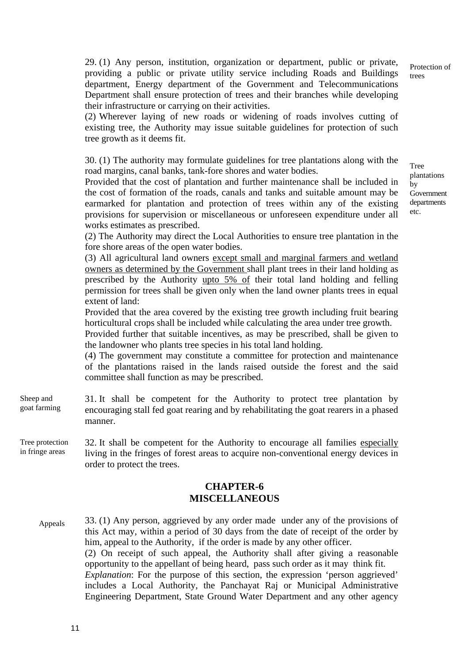29. (1) Any person, institution, organization or department, public or private, providing a public or private utility service including Roads and Buildings department, Energy department of the Government and Telecommunications Department shall ensure protection of trees and their branches while developing their infrastructure or carrying on their activities.

(2) Wherever laying of new roads or widening of roads involves cutting of existing tree, the Authority may issue suitable guidelines for protection of such tree growth as it deems fit.

30. (1) The authority may formulate guidelines for tree plantations along with the road margins, canal banks, tank-fore shores and water bodies.

Provided that the cost of plantation and further maintenance shall be included in the cost of formation of the roads, canals and tanks and suitable amount may be earmarked for plantation and protection of trees within any of the existing provisions for supervision or miscellaneous or unforeseen expenditure under all works estimates as prescribed.

(2) The Authority may direct the Local Authorities to ensure tree plantation in the fore shore areas of the open water bodies.

(3) All agricultural land owners except small and marginal farmers and wetland owners as determined by the Government shall plant trees in their land holding as prescribed by the Authority upto 5% of their total land holding and felling permission for trees shall be given only when the land owner plants trees in equal extent of land:

Provided that the area covered by the existing tree growth including fruit bearing horticultural crops shall be included while calculating the area under tree growth.

Provided further that suitable incentives, as may be prescribed, shall be given to the landowner who plants tree species in his total land holding.

(4) The government may constitute a committee for protection and maintenance of the plantations raised in the lands raised outside the forest and the said committee shall function as may be prescribed.

- 31. It shall be competent for the Authority to protect tree plantation by encouraging stall fed goat rearing and by rehabilitating the goat rearers in a phased manner. Sheep and goat farming
- 32. It shall be competent for the Authority to encourage all families especially living in the fringes of forest areas to acquire non-conventional energy devices in order to protect the trees. Tree protection in fringe areas

#### **CHAPTER-6 MISCELLANEOUS**

33. (1) Any person, aggrieved by any order made under any of the provisions of this Act may, within a period of 30 days from the date of receipt of the order by him, appeal to the Authority, if the order is made by any other officer. (2) On receipt of such appeal, the Authority shall after giving a reasonable opportunity to the appellant of being heard, pass such order as it may think fit. *Explanation*: For the purpose of this section, the expression 'person aggrieved' includes a Local Authority, the Panchayat Raj or Municipal Administrative Engineering Department, State Ground Water Department and any other agency Appeals

Protection of trees

Tree plantations by Government departments etc.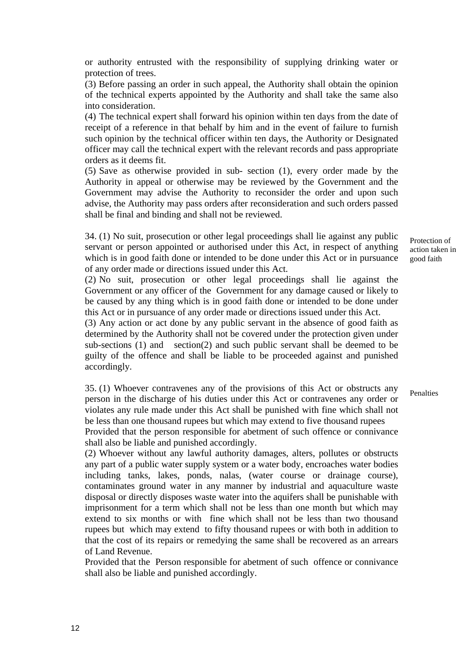or authority entrusted with the responsibility of supplying drinking water or protection of trees.

(3) Before passing an order in such appeal, the Authority shall obtain the opinion of the technical experts appointed by the Authority and shall take the same also into consideration.

(4) The technical expert shall forward his opinion within ten days from the date of receipt of a reference in that behalf by him and in the event of failure to furnish such opinion by the technical officer within ten days, the Authority or Designated officer may call the technical expert with the relevant records and pass appropriate orders as it deems fit.

(5) Save as otherwise provided in sub- section (1), every order made by the Authority in appeal or otherwise may be reviewed by the Government and the Government may advise the Authority to reconsider the order and upon such advise, the Authority may pass orders after reconsideration and such orders passed shall be final and binding and shall not be reviewed.

34. (1) No suit, prosecution or other legal proceedings shall lie against any public servant or person appointed or authorised under this Act, in respect of anything which is in good faith done or intended to be done under this Act or in pursuance of any order made or directions issued under this Act.

(2) No suit, prosecution or other legal proceedings shall lie against the Government or any officer of the Government for any damage caused or likely to be caused by any thing which is in good faith done or intended to be done under this Act or in pursuance of any order made or directions issued under this Act.

(3) Any action or act done by any public servant in the absence of good faith as determined by the Authority shall not be covered under the protection given under sub-sections (1) and section(2) and such public servant shall be deemed to be guilty of the offence and shall be liable to be proceeded against and punished accordingly.

35. (1) Whoever contravenes any of the provisions of this Act or obstructs any person in the discharge of his duties under this Act or contravenes any order or violates any rule made under this Act shall be punished with fine which shall not be less than one thousand rupees but which may extend to five thousand rupees Provided that the person responsible for abetment of such offence or connivance shall also be liable and punished accordingly.

(2) Whoever without any lawful authority damages, alters, pollutes or obstructs any part of a public water supply system or a water body, encroaches water bodies including tanks, lakes, ponds, nalas, (water course or drainage course), contaminates ground water in any manner by industrial and aquaculture waste disposal or directly disposes waste water into the aquifers shall be punishable with imprisonment for a term which shall not be less than one month but which may extend to six months or with fine which shall not be less than two thousand rupees but which may extend to fifty thousand rupees or with both in addition to that the cost of its repairs or remedying the same shall be recovered as an arrears of Land Revenue.

Provided that the Person responsible for abetment of such offence or connivance shall also be liable and punished accordingly.

Protection of action taken in good faith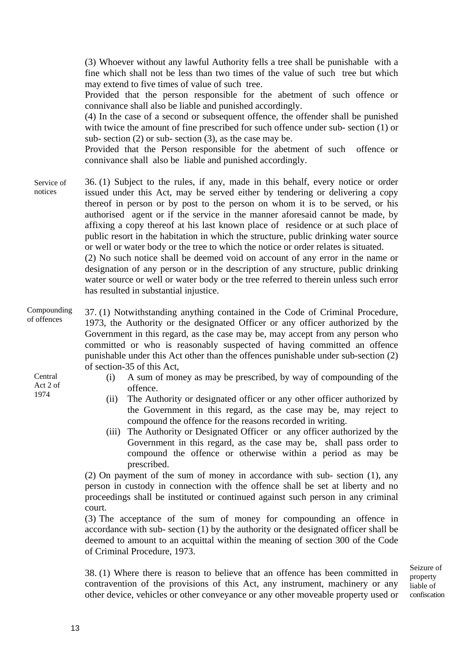(3) Whoever without any lawful Authority fells a tree shall be punishable with a fine which shall not be less than two times of the value of such tree but which may extend to five times of value of such tree.

Provided that the person responsible for the abetment of such offence or connivance shall also be liable and punished accordingly.

(4) In the case of a second or subsequent offence, the offender shall be punished with twice the amount of fine prescribed for such offence under sub- section (1) or sub- section (2) or sub- section (3), as the case may be.

Provided that the Person responsible for the abetment of such offence or connivance shall also be liable and punished accordingly.

36. (1) Subject to the rules, if any, made in this behalf, every notice or order issued under this Act, may be served either by tendering or delivering a copy thereof in person or by post to the person on whom it is to be served, or his authorised agent or if the service in the manner aforesaid cannot be made, by affixing a copy thereof at his last known place of residence or at such place of public resort in the habitation in which the structure, public drinking water source or well or water body or the tree to which the notice or order relates is situated. Service of notices

(2) No such notice shall be deemed void on account of any error in the name or designation of any person or in the description of any structure, public drinking water source or well or water body or the tree referred to therein unless such error has resulted in substantial injustice.

37. (1) Notwithstanding anything contained in the Code of Criminal Procedure, 1973, the Authority or the designated Officer or any officer authorized by the Government in this regard, as the case may be, may accept from any person who committed or who is reasonably suspected of having committed an offence punishable under this Act other than the offences punishable under sub-section (2) of section-35 of this Act, Compounding of offences

Central Act 2 of 1974

- (i) A sum of money as may be prescribed, by way of compounding of the offence.
- (ii) The Authority or designated officer or any other officer authorized by the Government in this regard, as the case may be, may reject to compound the offence for the reasons recorded in writing.
- (iii) The Authority or Designated Officer or any officer authorized by the Government in this regard, as the case may be, shall pass order to compound the offence or otherwise within a period as may be prescribed.

(2) On payment of the sum of money in accordance with sub- section (1), any person in custody in connection with the offence shall be set at liberty and no proceedings shall be instituted or continued against such person in any criminal court.

(3) The acceptance of the sum of money for compounding an offence in accordance with sub- section (1) by the authority or the designated officer shall be deemed to amount to an acquittal within the meaning of section 300 of the Code of Criminal Procedure, 1973.

38. (1) Where there is reason to believe that an offence has been committed in contravention of the provisions of this Act, any instrument, machinery or any other device, vehicles or other conveyance or any other moveable property used or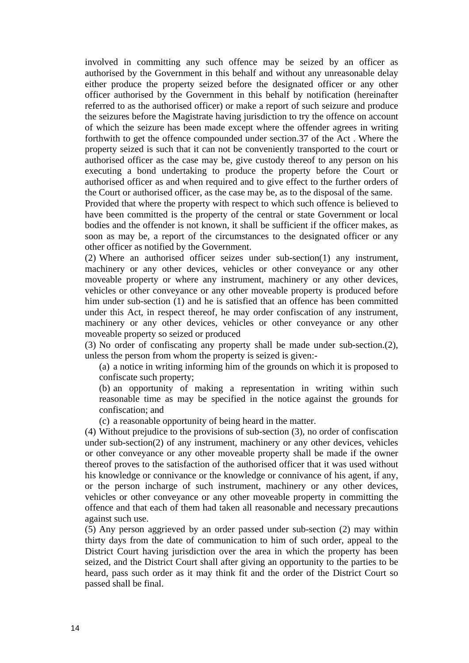involved in committing any such offence may be seized by an officer as authorised by the Government in this behalf and without any unreasonable delay either produce the property seized before the designated officer or any other officer authorised by the Government in this behalf by notification (hereinafter referred to as the authorised officer) or make a report of such seizure and produce the seizures before the Magistrate having jurisdiction to try the offence on account of which the seizure has been made except where the offender agrees in writing forthwith to get the offence compounded under section.37 of the Act . Where the property seized is such that it can not be conveniently transported to the court or authorised officer as the case may be, give custody thereof to any person on his executing a bond undertaking to produce the property before the Court or authorised officer as and when required and to give effect to the further orders of the Court or authorised officer, as the case may be, as to the disposal of the same.

Provided that where the property with respect to which such offence is believed to have been committed is the property of the central or state Government or local bodies and the offender is not known, it shall be sufficient if the officer makes, as soon as may be, a report of the circumstances to the designated officer or any other officer as notified by the Government.

(2) Where an authorised officer seizes under sub-section(1) any instrument, machinery or any other devices, vehicles or other conveyance or any other moveable property or where any instrument, machinery or any other devices, vehicles or other conveyance or any other moveable property is produced before him under sub-section (1) and he is satisfied that an offence has been committed under this Act, in respect thereof, he may order confiscation of any instrument, machinery or any other devices, vehicles or other conveyance or any other moveable property so seized or produced

(3) No order of confiscating any property shall be made under sub-section.(2), unless the person from whom the property is seized is given:-

(a) a notice in writing informing him of the grounds on which it is proposed to confiscate such property;

(b) an opportunity of making a representation in writing within such reasonable time as may be specified in the notice against the grounds for confiscation; and

(c) a reasonable opportunity of being heard in the matter.

(4) Without prejudice to the provisions of sub-section (3), no order of confiscation under sub-section(2) of any instrument, machinery or any other devices, vehicles or other conveyance or any other moveable property shall be made if the owner thereof proves to the satisfaction of the authorised officer that it was used without his knowledge or connivance or the knowledge or connivance of his agent, if any, or the person incharge of such instrument, machinery or any other devices, vehicles or other conveyance or any other moveable property in committing the offence and that each of them had taken all reasonable and necessary precautions against such use.

(5) Any person aggrieved by an order passed under sub-section (2) may within thirty days from the date of communication to him of such order, appeal to the District Court having jurisdiction over the area in which the property has been seized, and the District Court shall after giving an opportunity to the parties to be heard, pass such order as it may think fit and the order of the District Court so passed shall be final.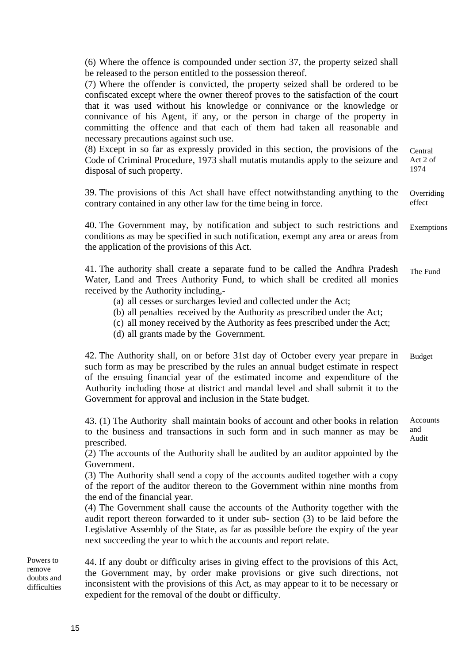(6) Where the offence is compounded under section 37, the property seized shall be released to the person entitled to the possession thereof.

(7) Where the offender is convicted, the property seized shall be ordered to be confiscated except where the owner thereof proves to the satisfaction of the court that it was used without his knowledge or connivance or the knowledge or connivance of his Agent, if any, or the person in charge of the property in committing the offence and that each of them had taken all reasonable and necessary precautions against such use.

(8) Except in so far as expressly provided in this section, the provisions of the Code of Criminal Procedure, 1973 shall mutatis mutandis apply to the seizure and disposal of such property. Central Act 2 of 1974

39. The provisions of this Act shall have effect notwithstanding anything to the contrary contained in any other law for the time being in force. **Overriding** effect

40. The Government may, by notification and subject to such restrictions and conditions as may be specified in such notification, exempt any area or areas from the application of the provisions of this Act. Exemptions

41. The authority shall create a separate fund to be called the Andhra Pradesh Water, Land and Trees Authority Fund, to which shall be credited all monies received by the Authority including,- The Fund

- (a) all cesses or surcharges levied and collected under the Act;
- (b) all penalties received by the Authority as prescribed under the Act;
- (c) all money received by the Authority as fees prescribed under the Act;
- (d) all grants made by the Government.

42. The Authority shall, on or before 31st day of October every year prepare in such form as may be prescribed by the rules an annual budget estimate in respect of the ensuing financial year of the estimated income and expenditure of the Authority including those at district and mandal level and shall submit it to the Government for approval and inclusion in the State budget. Budget

43. (1) The Authority shall maintain books of account and other books in relation to the business and transactions in such form and in such manner as may be prescribed. Accounts and Audit

(2) The accounts of the Authority shall be audited by an auditor appointed by the Government.

(3) The Authority shall send a copy of the accounts audited together with a copy of the report of the auditor thereon to the Government within nine months from the end of the financial year.

(4) The Government shall cause the accounts of the Authority together with the audit report thereon forwarded to it under sub- section (3) to be laid before the Legislative Assembly of the State, as far as possible before the expiry of the year next succeeding the year to which the accounts and report relate.

44. If any doubt or difficulty arises in giving effect to the provisions of this Act, the Government may, by order make provisions or give such directions, not inconsistent with the provisions of this Act, as may appear to it to be necessary or expedient for the removal of the doubt or difficulty. Powers to remove doubts and difficulties